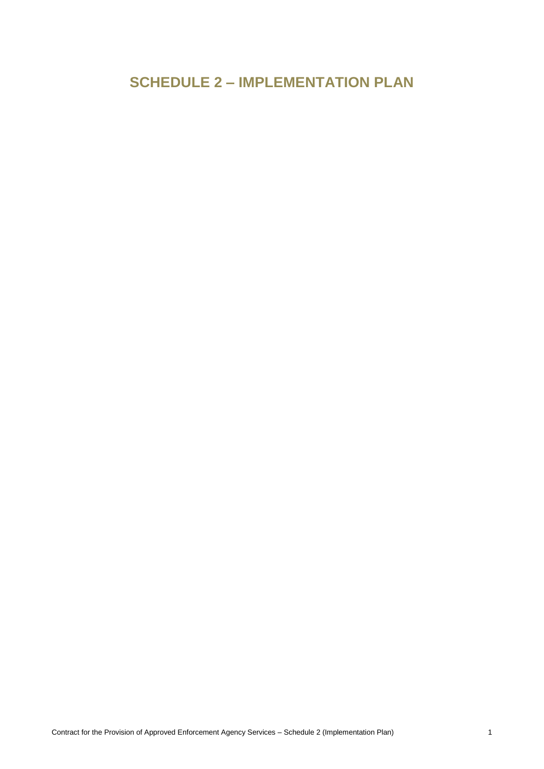# **SCHEDULE 2 – IMPLEMENTATION PLAN**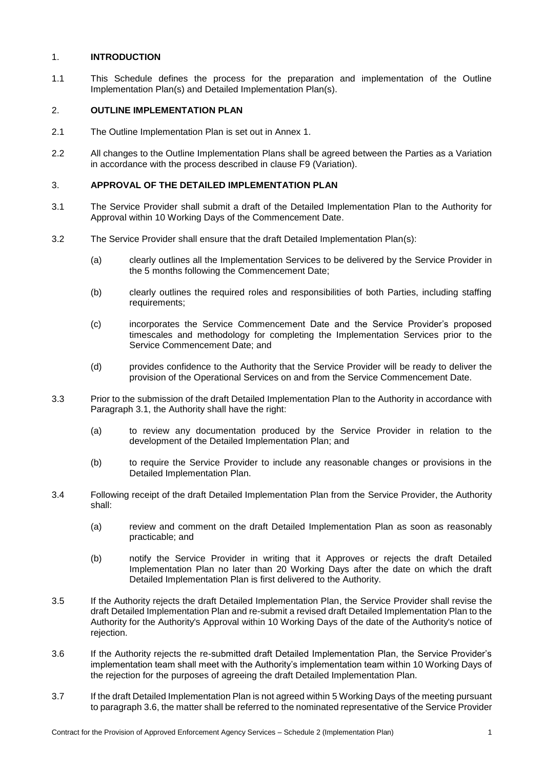## 1. **INTRODUCTION**

1.1 This Schedule defines the process for the preparation and implementation of the Outline Implementation Plan(s) and Detailed Implementation Plan(s).

# 2. **OUTLINE IMPLEMENTATION PLAN**

- 2.1 The Outline Implementation Plan is set out in Annex 1.
- 2.2 All changes to the Outline Implementation Plans shall be agreed between the Parties as a Variation in accordance with the process described in clause F9 (Variation).

## 3. **APPROVAL OF THE DETAILED IMPLEMENTATION PLAN**

- <span id="page-1-0"></span>3.1 The Service Provider shall submit a draft of the Detailed Implementation Plan to the Authority for Approval within 10 Working Days of the Commencement Date.
- 3.2 The Service Provider shall ensure that the draft Detailed Implementation Plan(s):
	- (a) clearly outlines all the Implementation Services to be delivered by the Service Provider in the 5 months following the Commencement Date;
	- (b) clearly outlines the required roles and responsibilities of both Parties, including staffing requirements;
	- (c) incorporates the Service Commencement Date and the Service Provider's proposed timescales and methodology for completing the Implementation Services prior to the Service Commencement Date; and
	- (d) provides confidence to the Authority that the Service Provider will be ready to deliver the provision of the Operational Services on and from the Service Commencement Date.
- 3.3 Prior to the submission of the draft Detailed Implementation Plan to the Authority in accordance with Paragraph [3.1,](#page-1-0) the Authority shall have the right:
	- (a) to review any documentation produced by the Service Provider in relation to the development of the Detailed Implementation Plan; and
	- (b) to require the Service Provider to include any reasonable changes or provisions in the Detailed Implementation Plan.
- 3.4 Following receipt of the draft Detailed Implementation Plan from the Service Provider, the Authority shall:
	- (a) review and comment on the draft Detailed Implementation Plan as soon as reasonably practicable; and
	- (b) notify the Service Provider in writing that it Approves or rejects the draft Detailed Implementation Plan no later than 20 Working Days after the date on which the draft Detailed Implementation Plan is first delivered to the Authority.
- 3.5 If the Authority rejects the draft Detailed Implementation Plan, the Service Provider shall revise the draft Detailed Implementation Plan and re-submit a revised draft Detailed Implementation Plan to the Authority for the Authority's Approval within 10 Working Days of the date of the Authority's notice of rejection.
- <span id="page-1-1"></span>3.6 If the Authority rejects the re-submitted draft Detailed Implementation Plan, the Service Provider's implementation team shall meet with the Authority's implementation team within 10 Working Days of the rejection for the purposes of agreeing the draft Detailed Implementation Plan.
- <span id="page-1-2"></span>3.7 If the draft Detailed Implementation Plan is not agreed within 5 Working Days of the meeting pursuant to paragraph [3.6,](#page-1-1) the matter shall be referred to the nominated representative of the Service Provider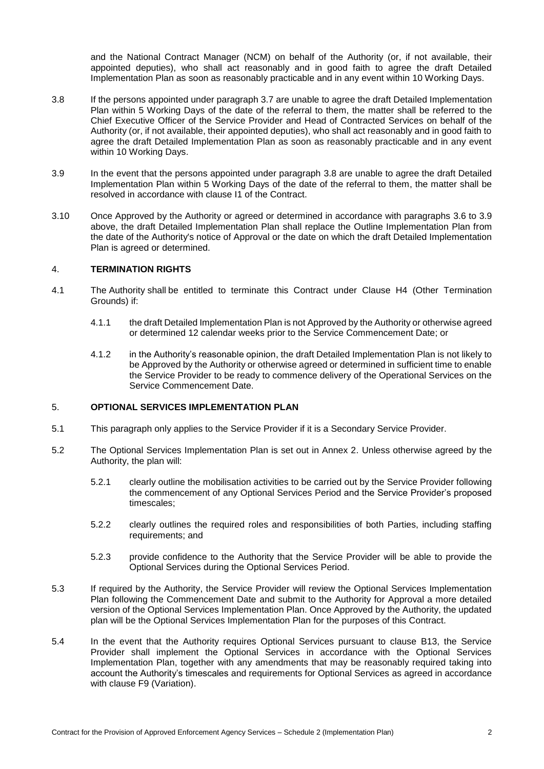and the National Contract Manager (NCM) on behalf of the Authority (or, if not available, their appointed deputies), who shall act reasonably and in good faith to agree the draft Detailed Implementation Plan as soon as reasonably practicable and in any event within 10 Working Days.

- <span id="page-2-0"></span>3.8 If the persons appointed under paragraph [3.7](#page-1-2) are unable to agree the draft Detailed Implementation Plan within 5 Working Days of the date of the referral to them, the matter shall be referred to the Chief Executive Officer of the Service Provider and Head of Contracted Services on behalf of the Authority (or, if not available, their appointed deputies), who shall act reasonably and in good faith to agree the draft Detailed Implementation Plan as soon as reasonably practicable and in any event within 10 Working Days.
- <span id="page-2-1"></span>3.9 In the event that the persons appointed under paragraph [3.8](#page-2-0) are unable to agree the draft Detailed Implementation Plan within 5 Working Days of the date of the referral to them, the matter shall be resolved in accordance with clause I1 of the Contract.
- 3.10 Once Approved by the Authority or agreed or determined in accordance with paragraphs [3.6](#page-1-1) to [3.9](#page-2-1) above, the draft Detailed Implementation Plan shall replace the Outline Implementation Plan from the date of the Authority's notice of Approval or the date on which the draft Detailed Implementation Plan is agreed or determined.

## 4. **TERMINATION RIGHTS**

- 4.1 The Authority shall be entitled to terminate this Contract under Clause H4 (Other Termination Grounds) if:
	- 4.1.1 the draft Detailed Implementation Plan is not Approved by the Authority or otherwise agreed or determined 12 calendar weeks prior to the Service Commencement Date; or
	- 4.1.2 in the Authority's reasonable opinion, the draft Detailed Implementation Plan is not likely to be Approved by the Authority or otherwise agreed or determined in sufficient time to enable the Service Provider to be ready to commence delivery of the Operational Services on the Service Commencement Date.

#### 5. **OPTIONAL SERVICES IMPLEMENTATION PLAN**

- 5.1 This paragraph only applies to the Service Provider if it is a Secondary Service Provider.
- 5.2 The Optional Services Implementation Plan is set out in Annex 2. Unless otherwise agreed by the Authority, the plan will:
	- 5.2.1 clearly outline the mobilisation activities to be carried out by the Service Provider following the commencement of any Optional Services Period and the Service Provider's proposed timescales;
	- 5.2.2 clearly outlines the required roles and responsibilities of both Parties, including staffing requirements; and
	- 5.2.3 provide confidence to the Authority that the Service Provider will be able to provide the Optional Services during the Optional Services Period.
- 5.3 If required by the Authority, the Service Provider will review the Optional Services Implementation Plan following the Commencement Date and submit to the Authority for Approval a more detailed version of the Optional Services Implementation Plan. Once Approved by the Authority, the updated plan will be the Optional Services Implementation Plan for the purposes of this Contract.
- 5.4 In the event that the Authority requires Optional Services pursuant to clause B13, the Service Provider shall implement the Optional Services in accordance with the Optional Services Implementation Plan, together with any amendments that may be reasonably required taking into account the Authority's timescales and requirements for Optional Services as agreed in accordance with clause F9 (Variation).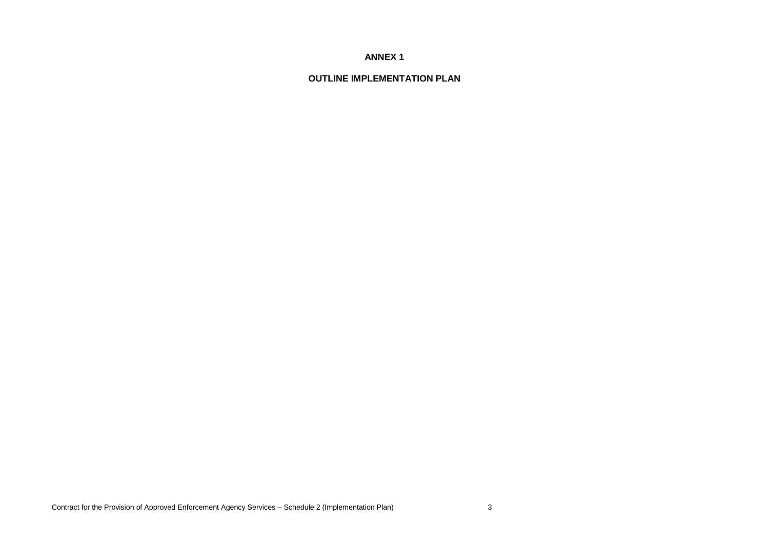# **ANNEX 1**

# **OUTLINE IMPLEMENTATION PLAN**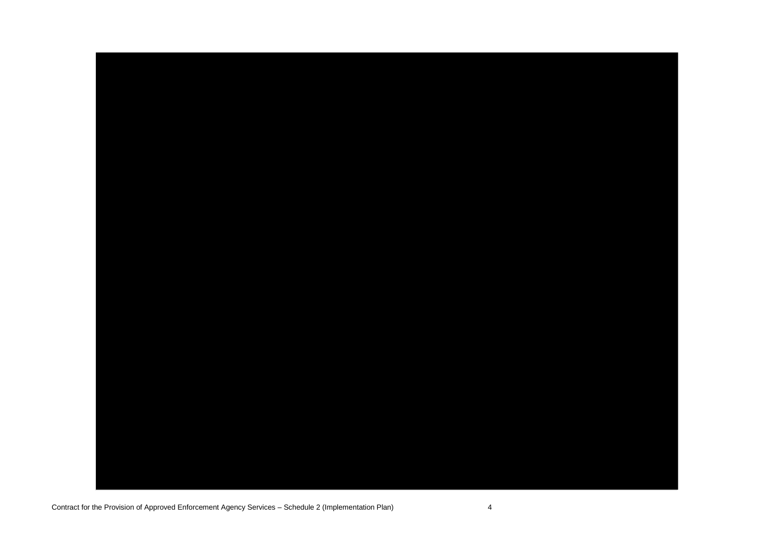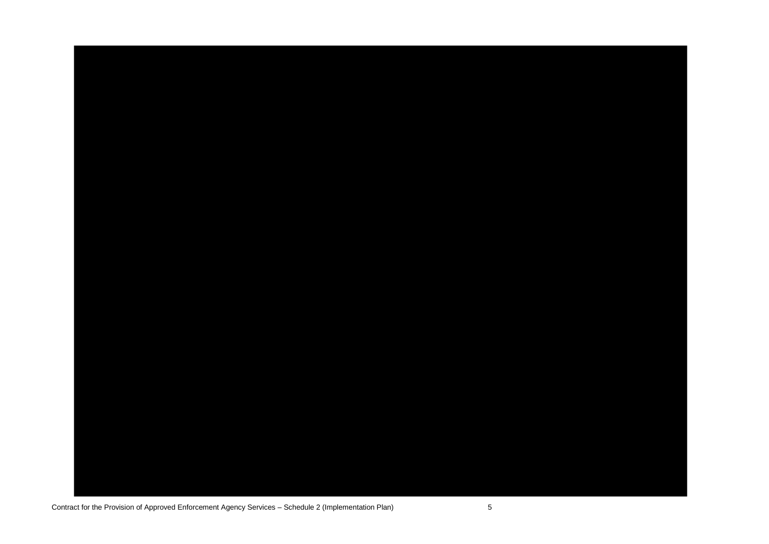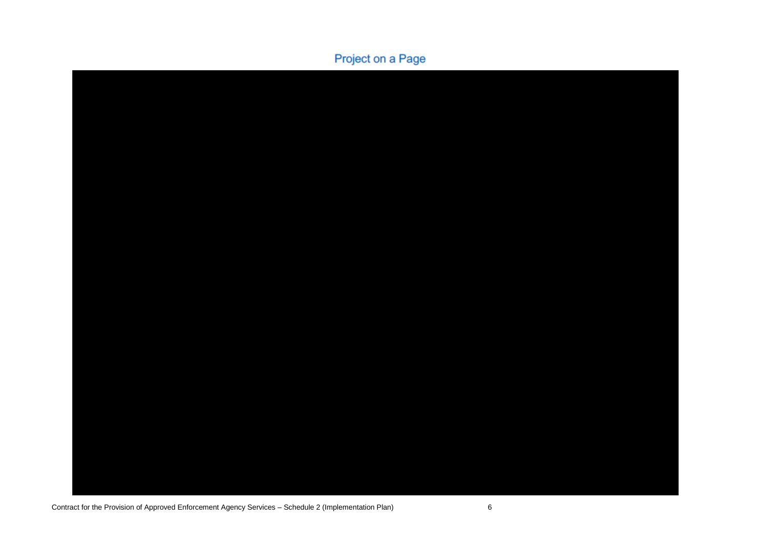

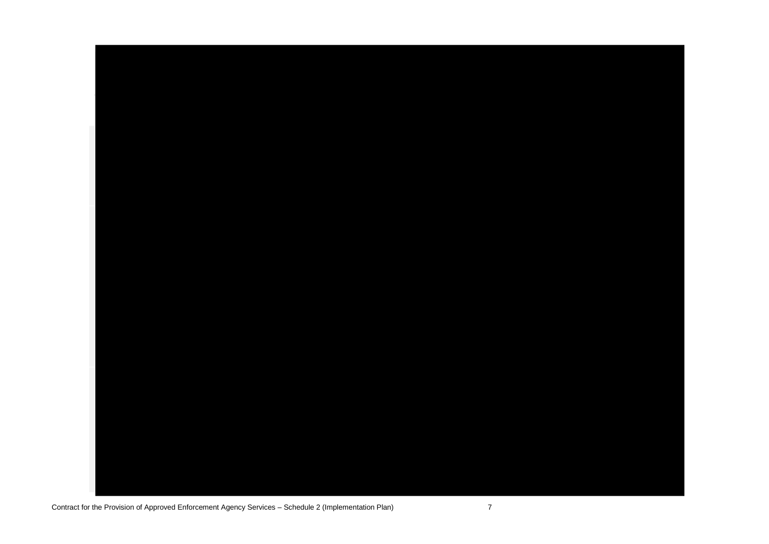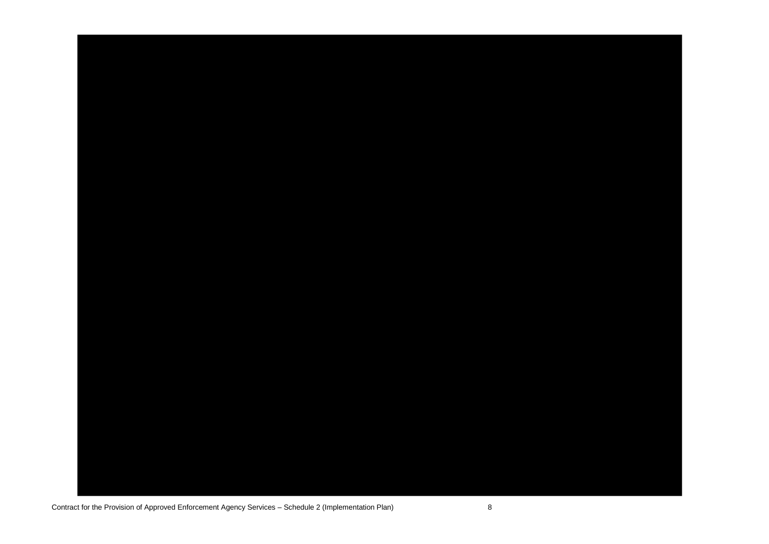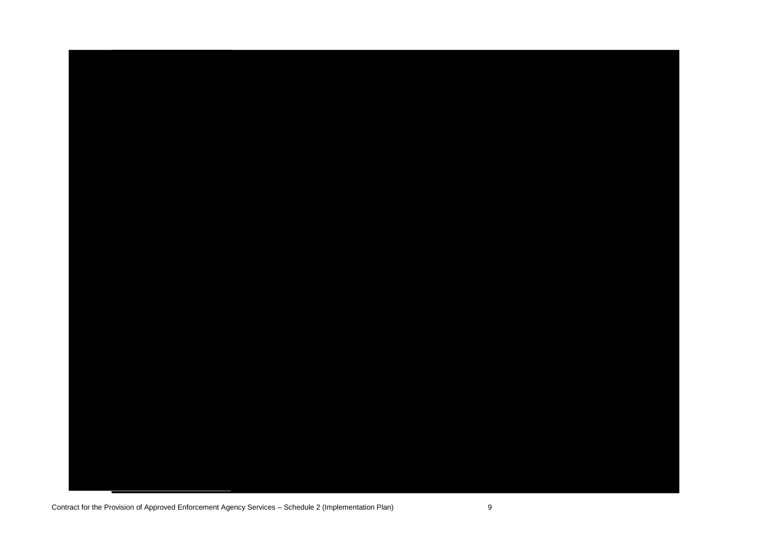

Contract for the Provision of Approved Enforcement Agency Services – Schedule 2 (Implementation Plan) 9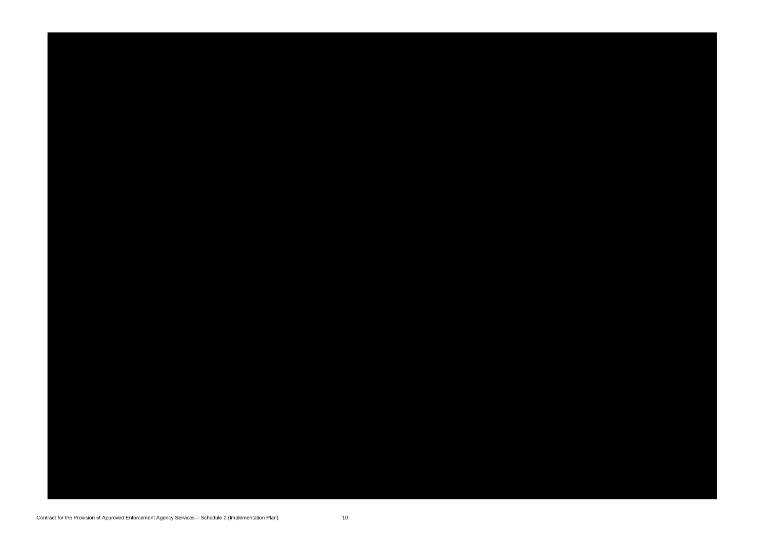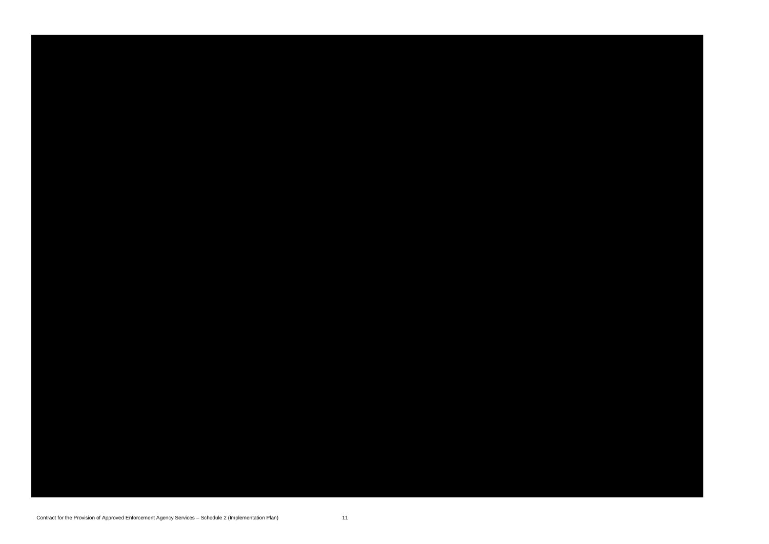

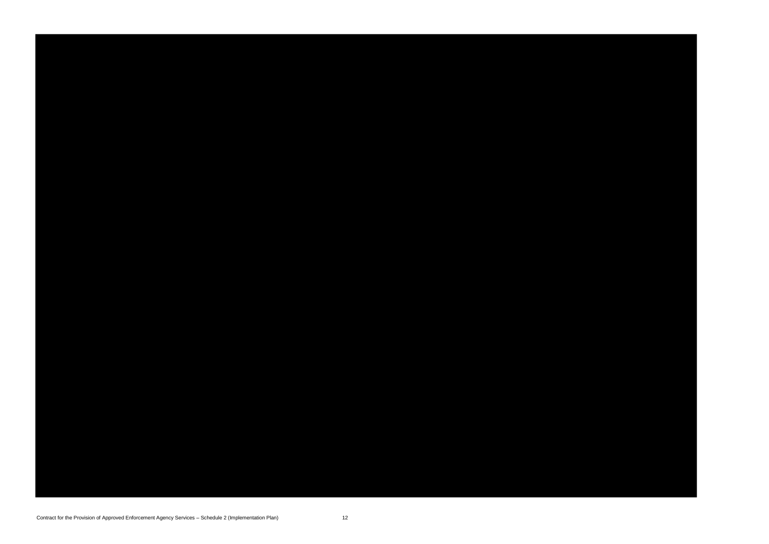

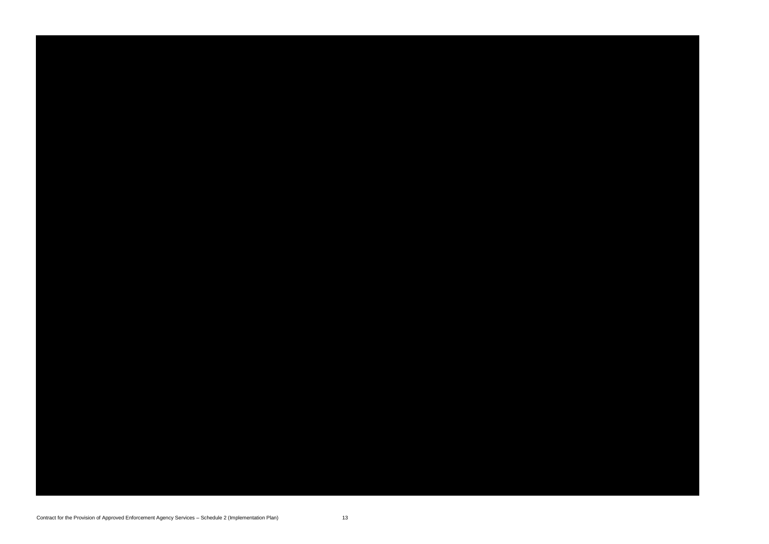

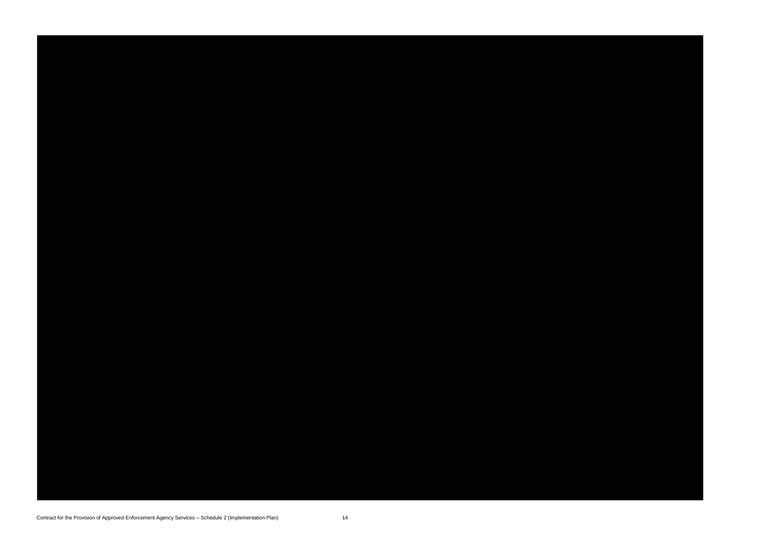

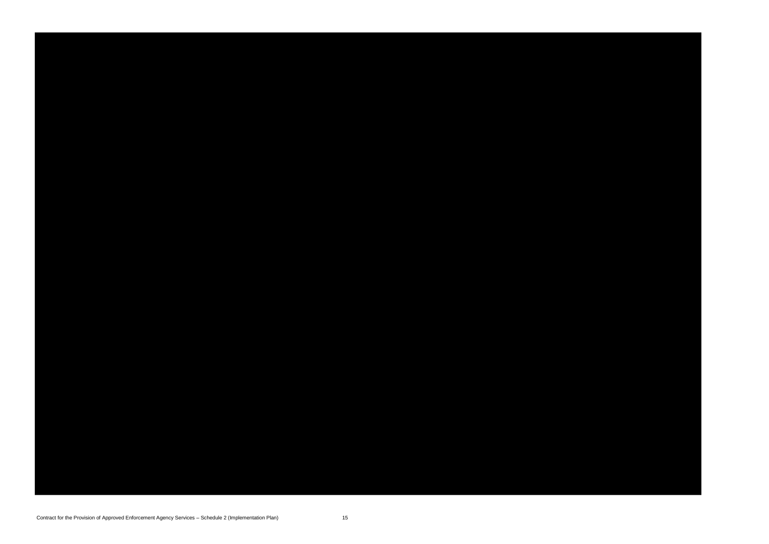

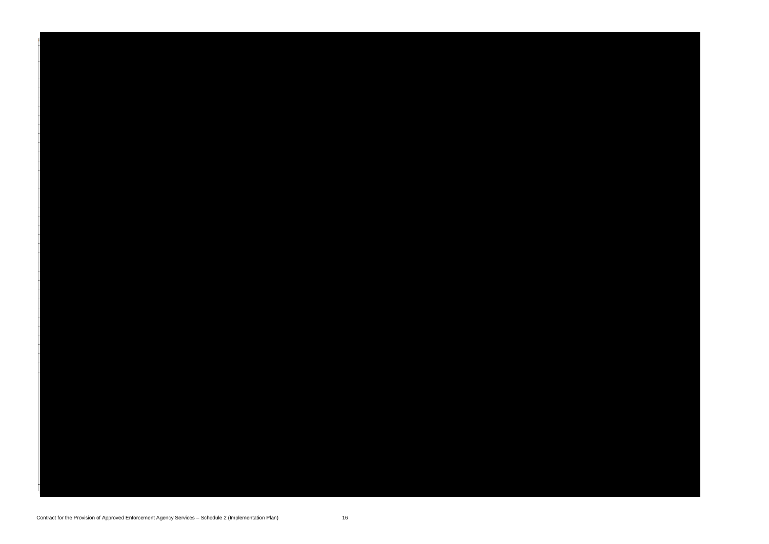

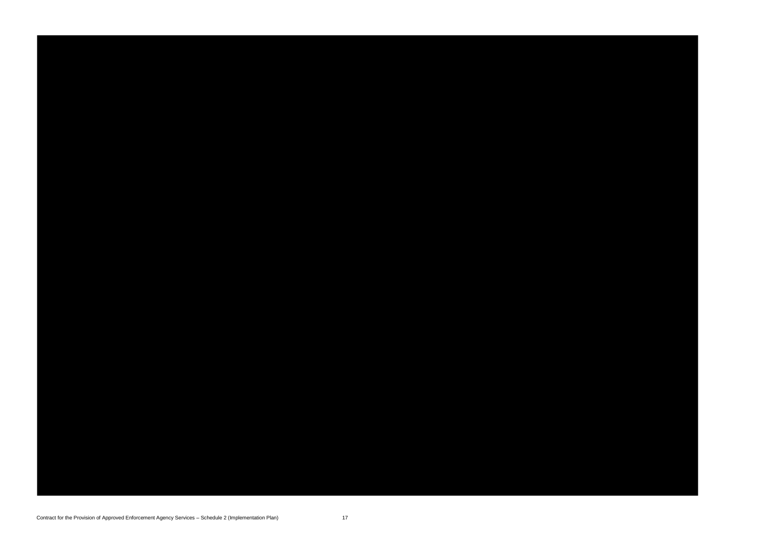

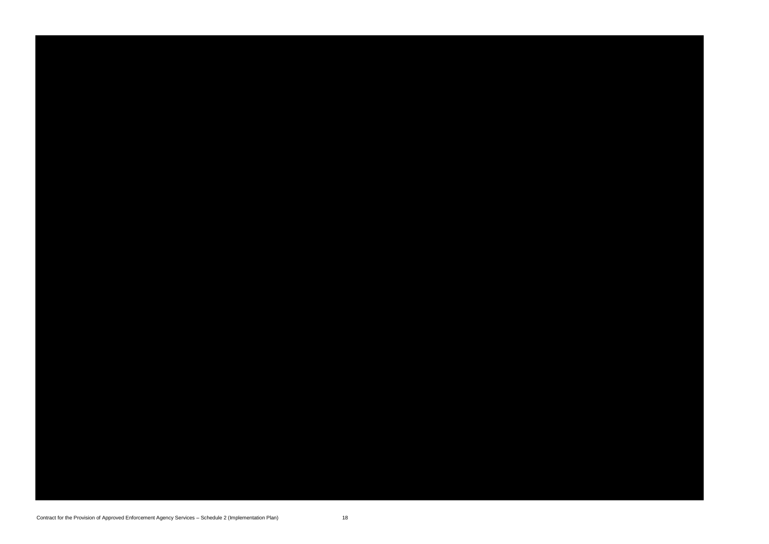

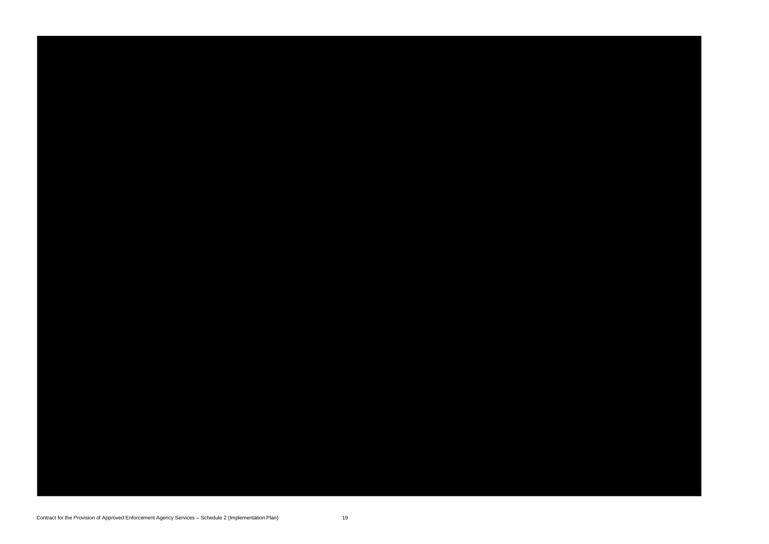

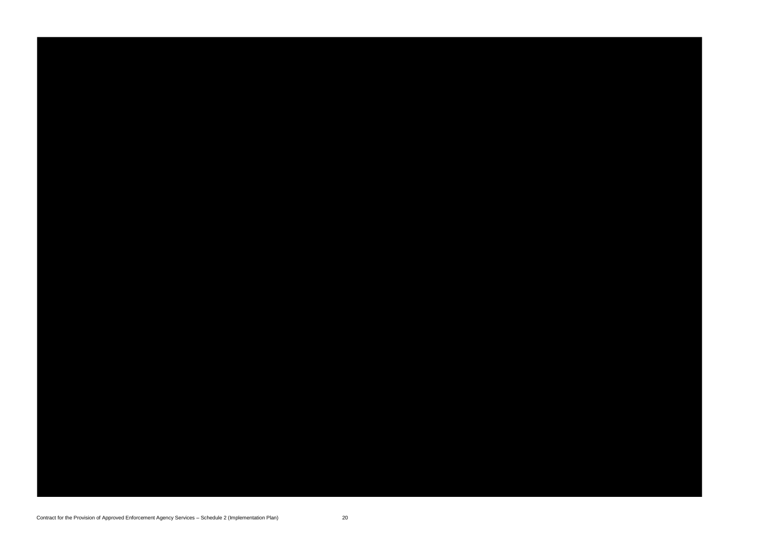Contract for the Provision of Approved Enforcement Agency Services – Schedule 2 (Implementation Plan) 20

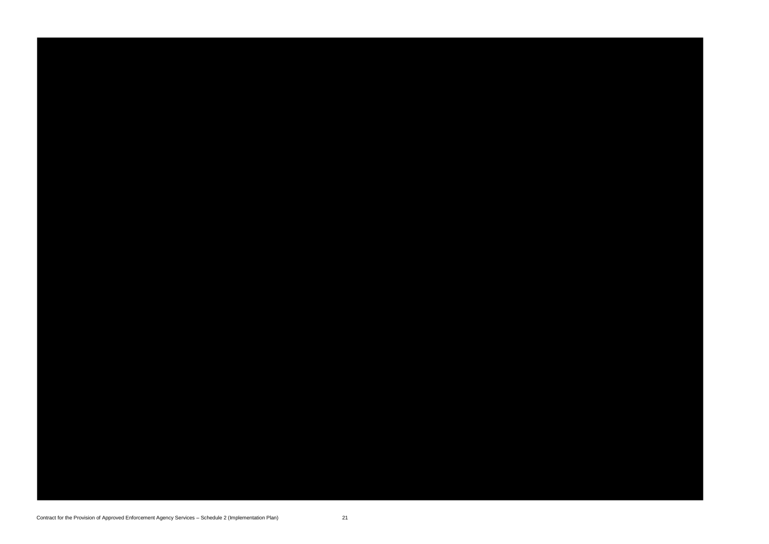

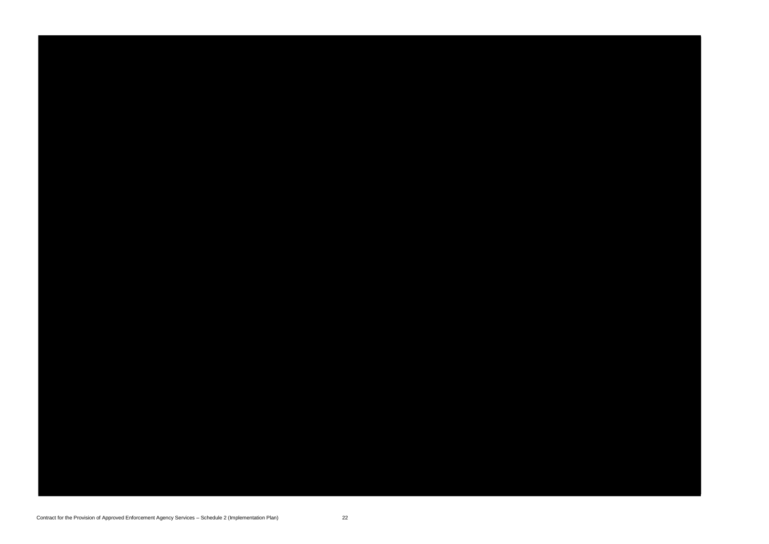

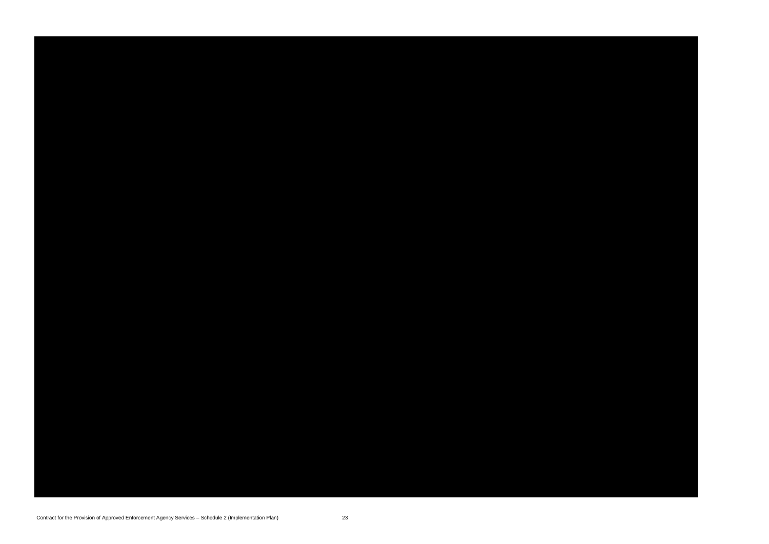

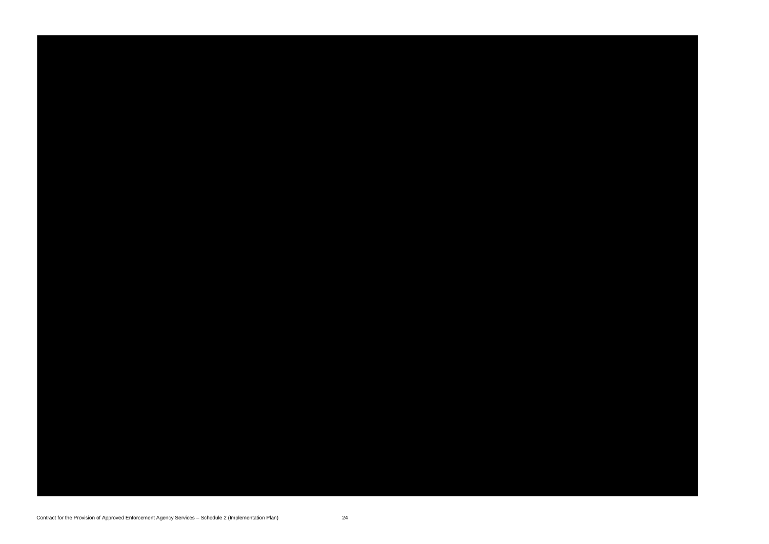

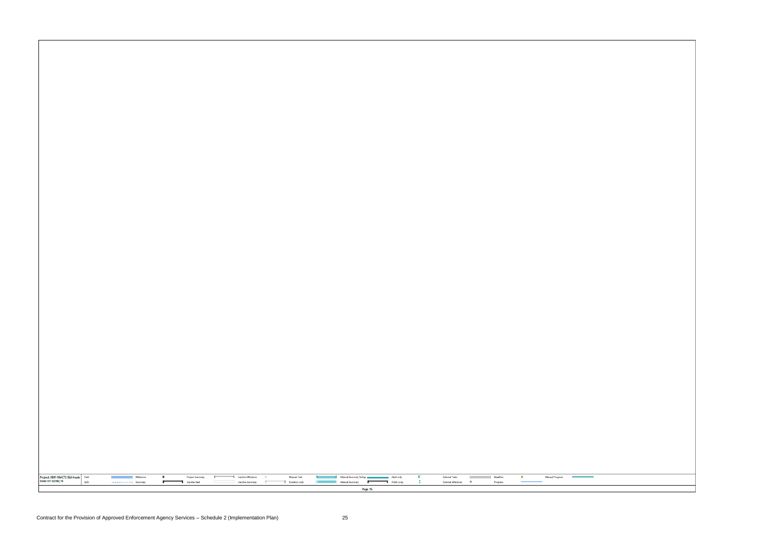| Project: JBW-HMCTS Bid-Imple Task<br>Date: Fri 02/08/19 Split | ${\sf Split}$ | Milestone<br>$\cdots \cdots \cdots \cdots \cdots \cdots \cdots$ | $\bullet$ | <b>Project Summary</b><br>Inactive Task | Inactive Milestone | <b>Inactive Summary</b> | $\circ$<br><b>The Contract of the Contract of the Contract of the Contract of the Contract of the Contract of the Contract of the Contract of the Contract of the Contract of the Contract of the Contract of the Contract of the Contract </b> | <b>Manual Task</b><br>Duration-only | <b>Contract</b><br><b>Contract</b> | Manual Summary Rollup Manual Start-only<br>Manual Summary Manual Summary Rinish-only | Page 16 | C.<br>$\Box$ | <b>External Tasks</b> | Deadline | Progress | $\bullet$ | Manual Progress <b>Common Common</b> |  |
|---------------------------------------------------------------|---------------|-----------------------------------------------------------------|-----------|-----------------------------------------|--------------------|-------------------------|-------------------------------------------------------------------------------------------------------------------------------------------------------------------------------------------------------------------------------------------------|-------------------------------------|------------------------------------|--------------------------------------------------------------------------------------|---------|--------------|-----------------------|----------|----------|-----------|--------------------------------------|--|